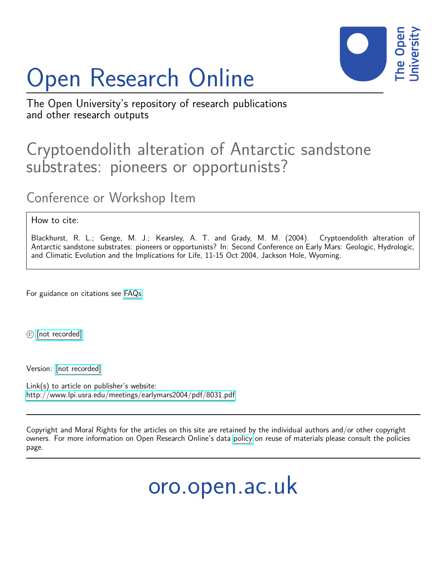## Open Research Online



The Open University's repository of research publications and other research outputs

## Cryptoendolith alteration of Antarctic sandstone substrates: pioneers or opportunists?

## Conference or Workshop Item

## How to cite:

Blackhurst, R. L.; Genge, M. J.; Kearsley, A. T. and Grady, M. M. (2004). Cryptoendolith alteration of Antarctic sandstone substrates: pioneers or opportunists? In: Second Conference on Early Mars: Geologic, Hydrologic, and Climatic Evolution and the Implications for Life, 11-15 Oct 2004, Jackson Hole, Wyoming.

For guidance on citations see [FAQs.](http://oro.open.ac.uk/help/helpfaq.html)

c [\[not recorded\]](http://oro.open.ac.uk/help/helpfaq.html#Unrecorded_information_on_coversheet)

Version: [\[not recorded\]](http://oro.open.ac.uk/help/helpfaq.html#Unrecorded_information_on_coversheet)

Link(s) to article on publisher's website: <http://www.lpi.usra.edu/meetings/earlymars2004/pdf/8031.pdf>

Copyright and Moral Rights for the articles on this site are retained by the individual authors and/or other copyright owners. For more information on Open Research Online's data [policy](http://oro.open.ac.uk/policies.html) on reuse of materials please consult the policies page.

oro.open.ac.uk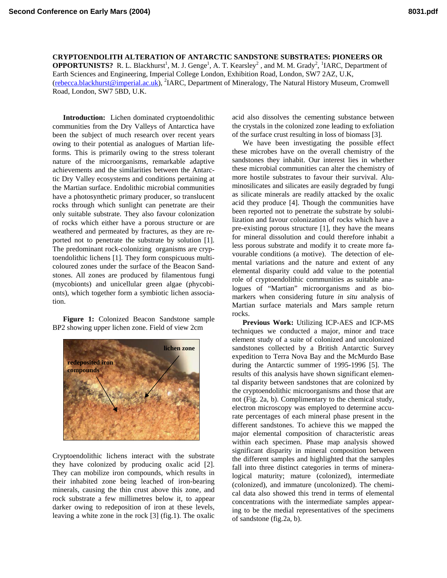**CRYPTOENDOLITH ALTERATION OF ANTARCTIC SANDSTONE SUBSTRATES: PIONEERS OR OPPORTUNISTS?** R. L. Blackhurst<sup>1</sup>, M. J. Genge<sup>1</sup>, A. T. Kearsley<sup>2</sup>, and M. M. Grady<sup>2</sup>, <sup>1</sup>IARC, Department of Earth Sciences and Engineering, Imperial College London, Exhibition Road, London, SW7 2AZ, U.K, [\(rebecca.blackhurst@imperial.ac.uk\)](mailto:rebecca.blackhurst@imperial.ac.uk), <sup>2</sup>IARC, Department of Mineralogy, The Natural History Museum, Cromwell Road, London, SW7 5BD, U.K.

**Introduction:** Lichen dominated cryptoendolithic communities from the Dry Valleys of Antarctica have been the subject of much research over recent years owing to their potential as analogues of Martian lifeforms. This is primarily owing to the stress tolerant nature of the microorganisms, remarkable adaptive achievements and the similarities between the Antarctic Dry Valley ecosystems and conditions pertaining at the Martian surface. Endolithic microbial communities have a photosynthetic primary producer, so translucent rocks through which sunlight can penetrate are their only suitable substrate. They also favour colonization of rocks which either have a porous structure or are weathered and permeated by fractures, as they are reported not to penetrate the substrate by solution [1]. The predominant rock-colonizing organisms are cryptoendolithic lichens [1]. They form conspicuous multicoloured zones under the surface of the Beacon Sandstones. All zones are produced by filamentous fungi (mycobionts) and unicellular green algae (phycobionts), which together form a symbiotic lichen association.

**Figure 1:** Colonized Beacon Sandstone sample BP2 showing upper lichen zone. Field of view 2cm



Cryptoendolithic lichens interact with the substrate they have colonized by producing oxalic acid [2]. They can mobilize iron compounds, which results in their inhabited zone being leached of iron-bearing minerals, causing the thin crust above this zone, and rock substrate a few millimetres below it, to appear darker owing to redeposition of iron at these levels, leaving a white zone in the rock [3] (fig.1). The oxalic acid also dissolves the cementing substance between the crystals in the colonized zone leading to exfoliation of the surface crust resulting in loss of biomass [3].

We have been investigating the possible effect these microbes have on the overall chemistry of the sandstones they inhabit. Our interest lies in whether these microbial communities can alter the chemistry of more hostile substrates to favour their survival. Aluminosilicates and silicates are easily degraded by fungi as silicate minerals are readily attacked by the oxalic acid they produce [4]. Though the communities have been reported not to penetrate the substrate by solubilization and favour colonization of rocks which have a pre-existing porous structure [1], they have the means for mineral dissolution and could therefore inhabit a less porous substrate and modify it to create more favourable conditions (a motive). The detection of elemental variations and the nature and extent of any elemental disparity could add value to the potential role of cryptoendolithic communities as suitable analogues of "Martian" microorganisms and as biomarkers when considering future *in situ* analysis of Martian surface materials and Mars sample return rocks.

**Previous Work:** Utilizing ICP-AES and ICP-MS techniques we conducted a major, minor and trace element study of a suite of colonized and uncolonized sandstones collected by a British Antarctic Survey expedition to Terra Nova Bay and the McMurdo Base during the Antarctic summer of 1995-1996 [5]. The results of this analysis have shown significant elemental disparity between sandstones that are colonized by the cryptoendolithic microorganisms and those that are not (Fig. 2a, b). Complimentary to the chemical study, electron microscopy was employed to determine accurate percentages of each mineral phase present in the different sandstones. To achieve this we mapped the major elemental composition of characteristic areas within each specimen. Phase map analysis showed significant disparity in mineral composition between the different samples and highlighted that the samples fall into three distinct categories in terms of mineralogical maturity; mature (colonized), intermediate (colonized), and immature (uncolonized). The chemical data also showed this trend in terms of elemental concentrations with the intermediate samples appearing to be the medial representatives of the specimens of sandstone (fig.2a, b).